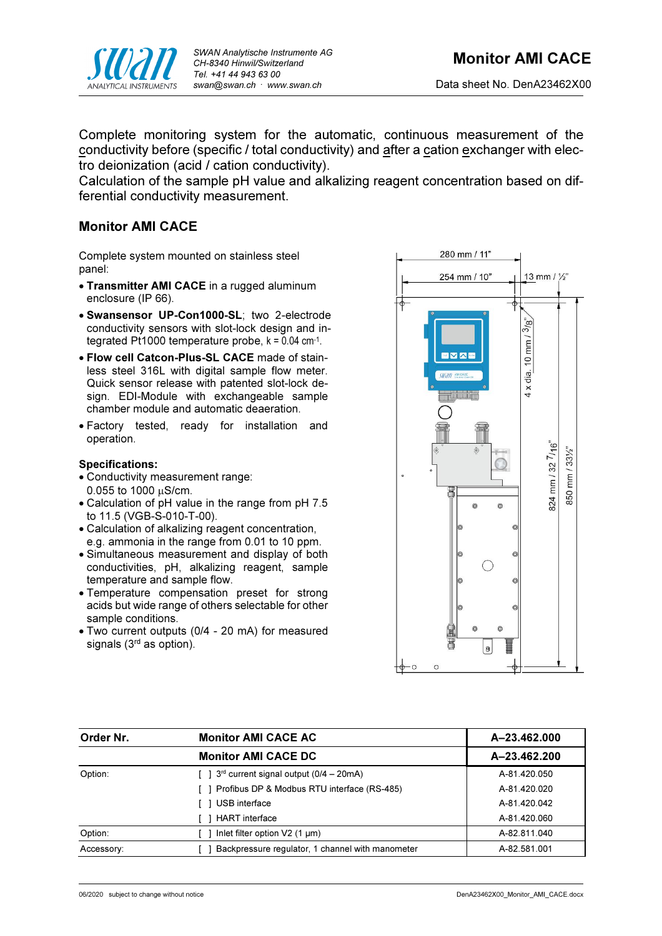

Complete monitoring system for the automatic, continuous measurement of the conductivity before (specific / total conductivity) and after a cation exchanger with electro deionization (acid / cation conductivity).

Calculation of the sample pH value and alkalizing reagent concentration based on differential conductivity measurement.

# Monitor AMI CACE

Complete system mounted on stainless steel panel:

- Transmitter AMI CACE in a rugged aluminum enclosure (IP 66).
- Swansensor UP-Con1000-SL; two 2-electrode conductivity sensors with slot-lock design and integrated Pt1000 temperature probe, k = 0.04 cm-1 .
- Flow cell Catcon-Plus-SL CACE made of stainless steel 316L with digital sample flow meter. Quick sensor release with patented slot-lock design. EDI-Module with exchangeable sample chamber module and automatic deaeration.
- Factory tested, ready for installation and operation.

# Specifications:

- Conductivity measurement range:  $0.055$  to 1000  $\mu$ S/cm.
- Calculation of pH value in the range from pH 7.5 to 11.5 (VGB-S-010-T-00).
- Calculation of alkalizing reagent concentration, e.g. ammonia in the range from 0.01 to 10 ppm.
- Simultaneous measurement and display of both conductivities, pH, alkalizing reagent, sample temperature and sample flow.
- Temperature compensation preset for strong acids but wide range of others selectable for other sample conditions.
- Two current outputs (0/4 20 mA) for measured signals (3<sup>rd</sup> as option).



| Order Nr.  | <b>Monitor AMI CACE AC</b>                                    | A-23.462.000<br>A-23.462.200 |  |
|------------|---------------------------------------------------------------|------------------------------|--|
|            | <b>Monitor AMI CACE DC</b>                                    |                              |  |
| Option:    | $\lceil$ 1 3 <sup>rd</sup> current signal output (0/4 – 20mA) | A-81.420.050                 |  |
|            | [ ] Profibus DP & Modbus RTU interface (RS-485)               | A-81.420.020                 |  |
|            | USB interface                                                 | A-81.420.042                 |  |
|            | <b>HART</b> interface                                         | A-81.420.060                 |  |
| Option:    | Inlet filter option $V2$ (1 µm)                               | A-82.811.040                 |  |
| Accessory: | Backpressure regulator, 1 channel with manometer              | A-82.581.001                 |  |